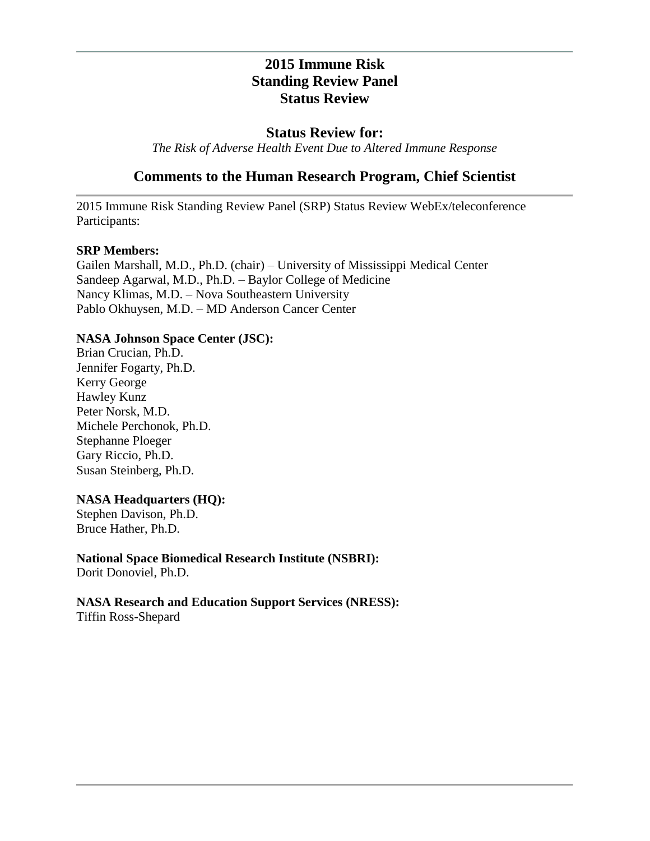# **2015 Immune Risk Standing Review Panel Status Review**

#### **Status Review for:**

*The Risk of Adverse Health Event Due to Altered Immune Response*

# **Comments to the Human Research Program, Chief Scientist**

2015 Immune Risk Standing Review Panel (SRP) Status Review WebEx/teleconference Participants:

#### **SRP Members:**

Gailen Marshall, M.D., Ph.D. (chair) – University of Mississippi Medical Center Sandeep Agarwal, M.D., Ph.D. – Baylor College of Medicine Nancy Klimas, M.D. – Nova Southeastern University Pablo Okhuysen, M.D. – MD Anderson Cancer Center

#### **NASA Johnson Space Center (JSC):**

Brian Crucian, Ph.D. Jennifer Fogarty, Ph.D. Kerry George Hawley Kunz Peter Norsk, M.D. Michele Perchonok, Ph.D. Stephanne Ploeger Gary Riccio, Ph.D. Susan Steinberg, Ph.D.

#### **NASA Headquarters (HQ):**

Stephen Davison, Ph.D. Bruce Hather, Ph.D.

### **National Space Biomedical Research Institute (NSBRI):**

Dorit Donoviel, Ph.D.

# **NASA Research and Education Support Services (NRESS):**

Tiffin Ross-Shepard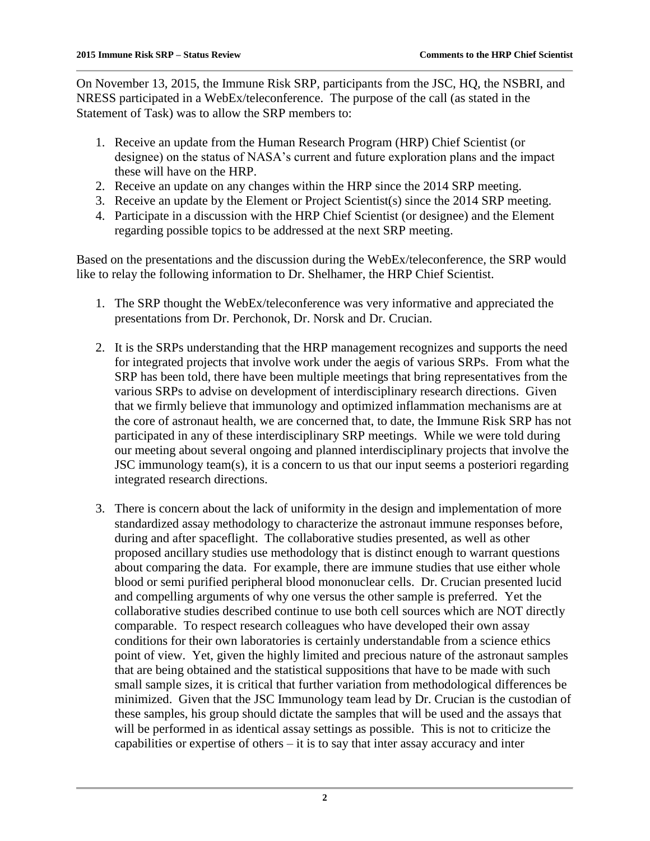On November 13, 2015, the Immune Risk SRP, participants from the JSC, HQ, the NSBRI, and NRESS participated in a WebEx/teleconference. The purpose of the call (as stated in the Statement of Task) was to allow the SRP members to:

- 1. Receive an update from the Human Research Program (HRP) Chief Scientist (or designee) on the status of NASA's current and future exploration plans and the impact these will have on the HRP.
- 2. Receive an update on any changes within the HRP since the 2014 SRP meeting.
- 3. Receive an update by the Element or Project Scientist(s) since the 2014 SRP meeting.
- 4. Participate in a discussion with the HRP Chief Scientist (or designee) and the Element regarding possible topics to be addressed at the next SRP meeting.

Based on the presentations and the discussion during the WebEx/teleconference, the SRP would like to relay the following information to Dr. Shelhamer, the HRP Chief Scientist.

- 1. The SRP thought the WebEx/teleconference was very informative and appreciated the presentations from Dr. Perchonok, Dr. Norsk and Dr. Crucian.
- 2. It is the SRPs understanding that the HRP management recognizes and supports the need for integrated projects that involve work under the aegis of various SRPs. From what the SRP has been told, there have been multiple meetings that bring representatives from the various SRPs to advise on development of interdisciplinary research directions. Given that we firmly believe that immunology and optimized inflammation mechanisms are at the core of astronaut health, we are concerned that, to date, the Immune Risk SRP has not participated in any of these interdisciplinary SRP meetings. While we were told during our meeting about several ongoing and planned interdisciplinary projects that involve the JSC immunology team(s), it is a concern to us that our input seems a posteriori regarding integrated research directions.
- 3. There is concern about the lack of uniformity in the design and implementation of more standardized assay methodology to characterize the astronaut immune responses before, during and after spaceflight. The collaborative studies presented, as well as other proposed ancillary studies use methodology that is distinct enough to warrant questions about comparing the data. For example, there are immune studies that use either whole blood or semi purified peripheral blood mononuclear cells. Dr. Crucian presented lucid and compelling arguments of why one versus the other sample is preferred. Yet the collaborative studies described continue to use both cell sources which are NOT directly comparable. To respect research colleagues who have developed their own assay conditions for their own laboratories is certainly understandable from a science ethics point of view. Yet, given the highly limited and precious nature of the astronaut samples that are being obtained and the statistical suppositions that have to be made with such small sample sizes, it is critical that further variation from methodological differences be minimized. Given that the JSC Immunology team lead by Dr. Crucian is the custodian of these samples, his group should dictate the samples that will be used and the assays that will be performed in as identical assay settings as possible. This is not to criticize the capabilities or expertise of others – it is to say that inter assay accuracy and inter